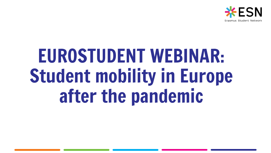

# EUROSTUDENT WEBINAR: Student mobility in Europe after the pandemic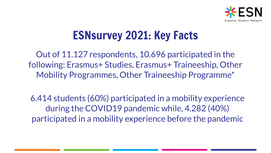

# ESNsurvey 2021: Key Facts

Out of 11.127 respondents, 10.696 participated in the following: Erasmus+ Studies, Erasmus+ Traineeship, Other Mobility Programmes, Other Traineeship Programme\*

6.414 students (60%) participated in a mobility experience during the COVID19 pandemic while, 4.282 (40%) participated in a mobility experience before the pandemic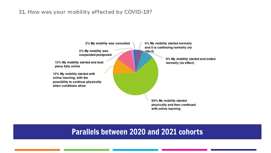#### 31. How was your mobility affected by COVID-19?



### Parallels between 2020 and 2021 cohorts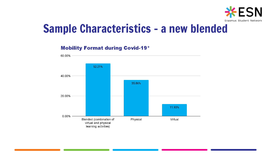

# Sample Characteristics - a new blended

#### **Mobility Format during Covid-19\***

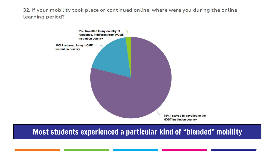32. If your mobility took place or continued online, where were you during the online learning period?



### Most students experienced a particular kind of "blended" mobility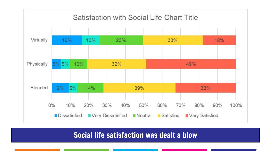

### Social life satisfaction was dealt a blow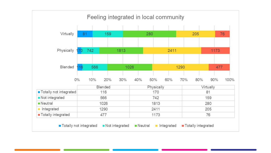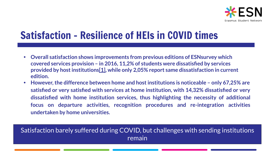

# Satisfaction - Resilience of HEIs in COVID times

- **• Overall satisfaction shows improvements from previous editions of ESNsurvey which covered services provision – in 2016, 11,2% of students were dissatisfied by services provided by host institutions[\[1\]](https://d.docs.live.net/eff1e945cffc85a2/Escritorio/ESN/JUAN%20PRESIDENT/ESN%20Survey/Ch.4%20-%20Mobility%20Support%20-%2011012021.docx#_ftn1), while only 2,05% report same dissatisfaction in current edition.**
- **• However, the difference between home and host institutions is noticeable only 67,25% are satisfied or very satisfied with services at home institution, with 14,32% dissatisfied or very dissatisfied with home institution services, thus highlighting the necessity of additional focus on departure activities, recognition procedures and re-integration activities undertaken by home universities.**

### Satisfaction barely suffered during COVID, but challenges with sending institutions remain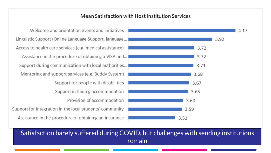#### Mean Satisfaction with Host Institution Services

Welcome and orientation events and initiatives Linguistic Support (Online Language Support, language... Access to health care services (e.g. medical assistance) Assistance in the procedure of obtaining a VISA and... Support during communication with local authorities... Mentoring and support services (e.g. Buddy System) Support for people with disabilities Support in finding accommodation Provision of accommodation Support for integration in the local students' community Assistance in the procedure of obtaining an insurance



Satisfaction barely suffered during COVID, but challenges with sending institutions remain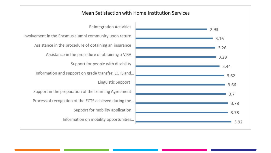

**Reintegration Activities** Involvement in the Erasmus alumni community upon return Assistance in the procedure of obtaining an insurance Assistance in the procedure of obtaining a VISA Support for people with disability Information and support on grade transfer, ECTS and... Linguistic Support Support in the preparation of the Learning Agreement Process of recognition of the ECTS achieved during the... Support for mobility application Information on mobility opportunities...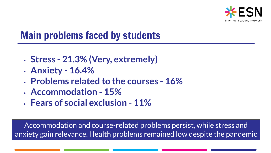

# Main problems faced by students

- **• Stress 21.3% (Very, extremely)**
- **• Anxiety 16.4%**
- **• Problems related to the courses 16%**
- **• Accommodation 15%**
- **• Fears of social exclusion 11%**

Accommodation and course-related problems persist, while stress and anxiety gain relevance. Health problems remained low despite the pandemic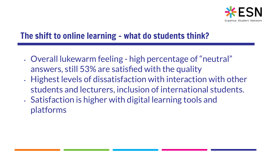

## The shift to online learning - what do students think?

- Overall lukewarm feeling high percentage of "neutral" answers, still 53% are satisfied with the quality
- Highest levels of dissatisfaction with interaction with other students and lecturers, inclusion of international students.
- Satisfaction is higher with digital learning tools and platforms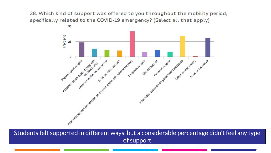38. Which kind of support was offered to you throughout the mobility period, specifically related to the COVID-19 emergency? (Select all that apply)



Students felt supported in different ways, but a considerable percentage didn't feel any type of support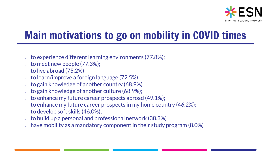

# Main motivations to go on mobility in COVID times

- to experience different learning environments (77.8%);
- to meet new people (77.3%);
- $\therefore$  to live abroad (75.2%)
- to learn/improve a foreign language (72.5%)
- to gain knowledge of another country (68.9%)
- to gain knowledge of another culture (68.9%);
- to enhance my future career prospects abroad (49.1%);
- to enhance my future career prospects in my home country (46.2%);
- to develop soft skills (46.0%);
- to build up a personal and professional network (38.3%)
- have mobility as a mandatory component in their study program (8.0%)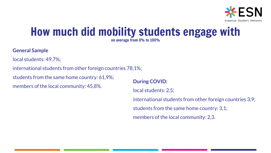

### How much did mobility students engage with on average from 0% to 100%

#### **General Sample**

local students: 49,7%;

international students from other foreign countries 78,1%;

students from the same home country: 61,9%;

members of the local community: 45,8%.

**During COVID:**

local students: 2,5;

international students from other foreign countries 3,9; students from the same home country: 3,1; members of the local community: 2,3.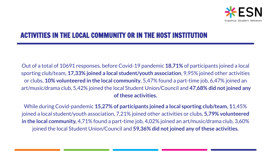

### ACTIVITIES IN THE LOCAL COMMUNITY OR IN THE HOST INSTITUTION

Out of a total of 10691 responses, before Covid-19 pandemic **18,71%** of participants joined a local sporting club/team, **17,33% joined a local student/youth association**, 9,95% joined other activities or clubs, **10% volunteered in the local community**, 5,47% found a part-time job, 6,47% joined an art/music/drama club, 5,42% joined the local Student Union/Council and **47,68% did not joined any of these activities.** 

While during Covid-pandemic **15,27% of participants joined a local sporting club/team, 1**1,45% joined a local student/youth association, 7,21% joined other activities or clubs, **5,79% volunteered in the local community,** 4,71% found a part-time job, 4,02% joined an art/music/drama club, 3,60% joined the local Student Union/Council and **59,36% did not joined any of these activities.**